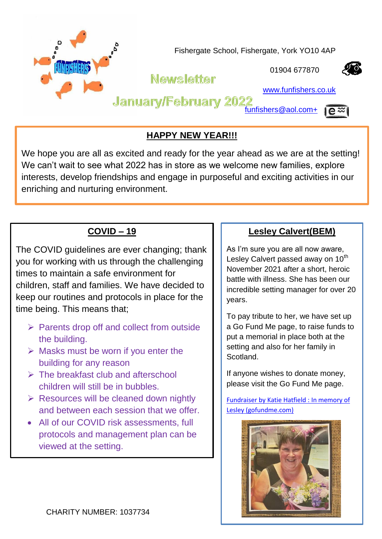

## **HAPPY NEW YEAR!!!**

We hope you are all as excited and ready for the year ahead as we are at the setting! We can't wait to see what 2022 has in store as we welcome new families, explore interests, develop friendships and engage in purposeful and exciting activities in our enriching and nurturing environment.

# **COVID – 19**

The COVID guidelines are ever changing; thank you for working with us through the challenging times to maintain a safe environment for children, staff and families. We have decided to keep our routines and protocols in place for the time being. This means that;

- $\triangleright$  Parents drop off and collect from outside the building.
- $\triangleright$  Masks must be worn if you enter the building for any reason
- $\triangleright$  The breakfast club and afterschool children will still be in bubbles.
- $\triangleright$  Resources will be cleaned down nightly and between each session that we offer.
- All of our COVID risk assessments, full protocols and management plan can be viewed at the setting.

### **Lesley Calvert(BEM)**

As I'm sure you are all now aware, Lesley Calvert passed away on 10<sup>th</sup> November 2021 after a short, heroic battle with illness. She has been our incredible setting manager for over 20 years.

To pay tribute to her, we have set up a Go Fund Me page, to raise funds to put a memorial in place both at the setting and also for her family in **Scotland** 

If anyone wishes to donate money, please visit the Go Fund Me page.

[Fundraiser by Katie Hatfield :](https://www.gofundme.com/f/in-memory-of-lesley?utm_campaign=p_cf+share-flow-1&utm_medium=chat&utm_source=whatsapp) In memory of [Lesley \(gofundme.com\)](https://www.gofundme.com/f/in-memory-of-lesley?utm_campaign=p_cf+share-flow-1&utm_medium=chat&utm_source=whatsapp)